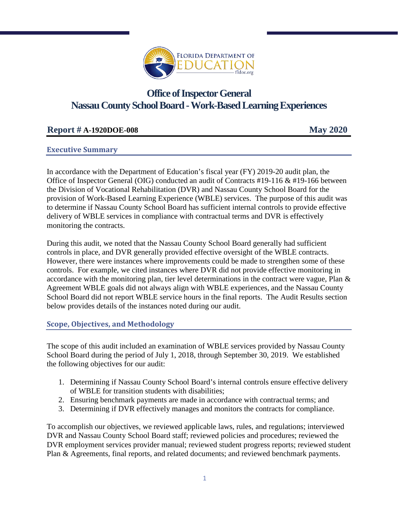

# **Office of Inspector General Nassau County School Board - Work-Based Learning Experiences**

# **Report # A-1920DOE-008 May 2020**

# **Executive Summary**

In accordance with the Department of Education's fiscal year (FY) 2019-20 audit plan, the Office of Inspector General (OIG) conducted an audit of Contracts #19-116 & #19-166 between the Division of Vocational Rehabilitation (DVR) and Nassau County School Board for the provision of Work-Based Learning Experience (WBLE) services. The purpose of this audit was to determine if Nassau County School Board has sufficient internal controls to provide effective delivery of WBLE services in compliance with contractual terms and DVR is effectively monitoring the contracts.

During this audit, we noted that the Nassau County School Board generally had sufficient controls in place, and DVR generally provided effective oversight of the WBLE contracts. However, there were instances where improvements could be made to strengthen some of these controls. For example, we cited instances where DVR did not provide effective monitoring in accordance with the monitoring plan, tier level determinations in the contract were vague, Plan & Agreement WBLE goals did not always align with WBLE experiences, and the Nassau County School Board did not report WBLE service hours in the final reports. The Audit Results section below provides details of the instances noted during our audit.

#### **Scope, Objectives, and Methodology**

The scope of this audit included an examination of WBLE services provided by Nassau County School Board during the period of July 1, 2018, through September 30, 2019. We established the following objectives for our audit:

- 1. Determining if Nassau County School Board's internal controls ensure effective delivery of WBLE for transition students with disabilities;
- 2. Ensuring benchmark payments are made in accordance with contractual terms; and
- 3. Determining if DVR effectively manages and monitors the contracts for compliance.

To accomplish our objectives, we reviewed applicable laws, rules, and regulations; interviewed DVR and Nassau County School Board staff; reviewed policies and procedures; reviewed the DVR employment services provider manual; reviewed student progress reports; reviewed student Plan & Agreements, final reports, and related documents; and reviewed benchmark payments.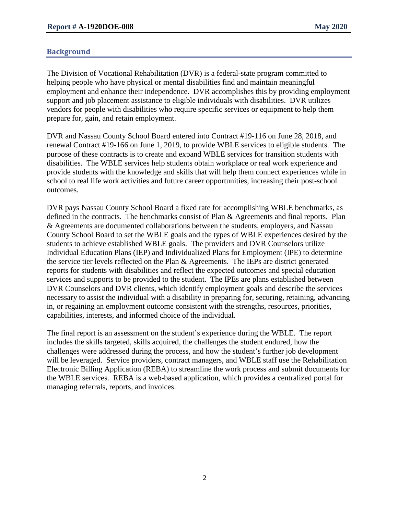# **Background**

The Division of Vocational Rehabilitation (DVR) is a federal-state program committed to helping people who have physical or mental disabilities find and maintain meaningful employment and enhance their independence. DVR accomplishes this by providing employment support and job placement assistance to eligible individuals with disabilities. DVR utilizes vendors for people with disabilities who require specific services or equipment to help them prepare for, gain, and retain employment.

DVR and Nassau County School Board entered into Contract #19-116 on June 28, 2018, and renewal Contract #19-166 on June 1, 2019, to provide WBLE services to eligible students. The purpose of these contracts is to create and expand WBLE services for transition students with disabilities. The WBLE services help students obtain workplace or real work experience and provide students with the knowledge and skills that will help them connect experiences while in school to real life work activities and future career opportunities, increasing their post-school outcomes.

DVR pays Nassau County School Board a fixed rate for accomplishing WBLE benchmarks, as defined in the contracts. The benchmarks consist of Plan & Agreements and final reports. Plan & Agreements are documented collaborations between the students, employers, and Nassau County School Board to set the WBLE goals and the types of WBLE experiences desired by the students to achieve established WBLE goals. The providers and DVR Counselors utilize Individual Education Plans (IEP) and Individualized Plans for Employment (IPE) to determine the service tier levels reflected on the Plan & Agreements. The IEPs are district generated reports for students with disabilities and reflect the expected outcomes and special education services and supports to be provided to the student. The IPEs are plans established between DVR Counselors and DVR clients, which identify employment goals and describe the services necessary to assist the individual with a disability in preparing for, securing, retaining, advancing in, or regaining an employment outcome consistent with the strengths, resources, priorities, capabilities, interests, and informed choice of the individual.

The final report is an assessment on the student's experience during the WBLE. The report includes the skills targeted, skills acquired, the challenges the student endured, how the challenges were addressed during the process, and how the student's further job development will be leveraged. Service providers, contract managers, and WBLE staff use the Rehabilitation Electronic Billing Application (REBA) to streamline the work process and submit documents for the WBLE services. REBA is a web-based application, which provides a centralized portal for managing referrals, reports, and invoices.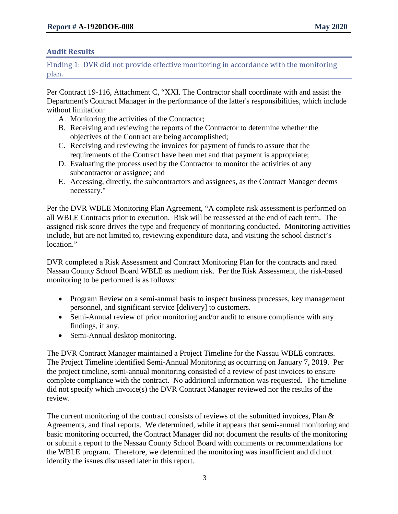# **Audit Results**

Finding 1: DVR did not provide effective monitoring in accordance with the monitoring plan.

Per Contract 19-116, Attachment C, "XXI. The Contractor shall coordinate with and assist the Department's Contract Manager in the performance of the latter's responsibilities, which include without limitation:

- A. Monitoring the activities of the Contractor;
- B. Receiving and reviewing the reports of the Contractor to determine whether the objectives of the Contract are being accomplished;
- C. Receiving and reviewing the invoices for payment of funds to assure that the requirements of the Contract have been met and that payment is appropriate;
- D. Evaluating the process used by the Contractor to monitor the activities of any subcontractor or assignee; and
- E. Accessing, directly, the subcontractors and assignees, as the Contract Manager deems necessary."

Per the DVR WBLE Monitoring Plan Agreement, "A complete risk assessment is performed on all WBLE Contracts prior to execution. Risk will be reassessed at the end of each term. The assigned risk score drives the type and frequency of monitoring conducted. Monitoring activities include, but are not limited to, reviewing expenditure data, and visiting the school district's location."

DVR completed a Risk Assessment and Contract Monitoring Plan for the contracts and rated Nassau County School Board WBLE as medium risk. Per the Risk Assessment, the risk-based monitoring to be performed is as follows:

- Program Review on a semi-annual basis to inspect business processes, key management personnel, and significant service [delivery] to customers.
- Semi-Annual review of prior monitoring and/or audit to ensure compliance with any findings, if any.
- Semi-Annual desktop monitoring.

The DVR Contract Manager maintained a Project Timeline for the Nassau WBLE contracts. The Project Timeline identified Semi-Annual Monitoring as occurring on January 7, 2019. Per the project timeline, semi-annual monitoring consisted of a review of past invoices to ensure complete compliance with the contract. No additional information was requested. The timeline did not specify which invoice(s) the DVR Contract Manager reviewed nor the results of the review.

The current monitoring of the contract consists of reviews of the submitted invoices, Plan & Agreements, and final reports. We determined, while it appears that semi-annual monitoring and basic monitoring occurred, the Contract Manager did not document the results of the monitoring or submit a report to the Nassau County School Board with comments or recommendations for the WBLE program. Therefore, we determined the monitoring was insufficient and did not identify the issues discussed later in this report.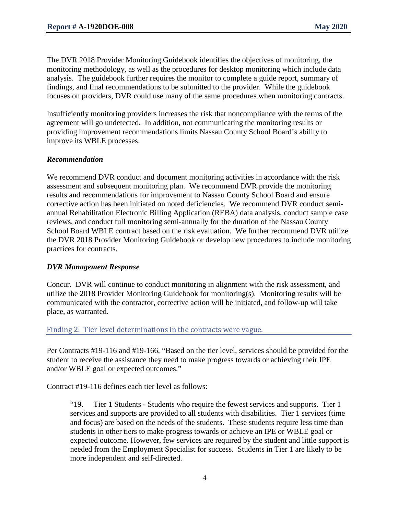The DVR 2018 Provider Monitoring Guidebook identifies the objectives of monitoring, the monitoring methodology, as well as the procedures for desktop monitoring which include data analysis. The guidebook further requires the monitor to complete a guide report, summary of findings, and final recommendations to be submitted to the provider. While the guidebook focuses on providers, DVR could use many of the same procedures when monitoring contracts.

Insufficiently monitoring providers increases the risk that noncompliance with the terms of the agreement will go undetected. In addition, not communicating the monitoring results or providing improvement recommendations limits Nassau County School Board's ability to improve its WBLE processes.

#### *Recommendation*

We recommend DVR conduct and document monitoring activities in accordance with the risk assessment and subsequent monitoring plan. We recommend DVR provide the monitoring results and recommendations for improvement to Nassau County School Board and ensure corrective action has been initiated on noted deficiencies. We recommend DVR conduct semiannual Rehabilitation Electronic Billing Application (REBA) data analysis, conduct sample case reviews, and conduct full monitoring semi-annually for the duration of the Nassau County School Board WBLE contract based on the risk evaluation. We further recommend DVR utilize the DVR 2018 Provider Monitoring Guidebook or develop new procedures to include monitoring practices for contracts.

#### *DVR Management Response*

Concur. DVR will continue to conduct monitoring in alignment with the risk assessment, and utilize the 2018 Provider Monitoring Guidebook for monitoring(s). Monitoring results will be communicated with the contractor, corrective action will be initiated, and follow-up will take place, as warranted.

#### Finding 2: Tier level determinations in the contracts were vague.

Per Contracts #19-116 and #19-166, "Based on the tier level, services should be provided for the student to receive the assistance they need to make progress towards or achieving their IPE and/or WBLE goal or expected outcomes."

Contract #19-116 defines each tier level as follows:

"19. Tier 1 Students - Students who require the fewest services and supports. Tier 1 services and supports are provided to all students with disabilities. Tier 1 services (time and focus) are based on the needs of the students. These students require less time than students in other tiers to make progress towards or achieve an IPE or WBLE goal or expected outcome. However, few services are required by the student and little support is needed from the Employment Specialist for success. Students in Tier 1 are likely to be more independent and self-directed.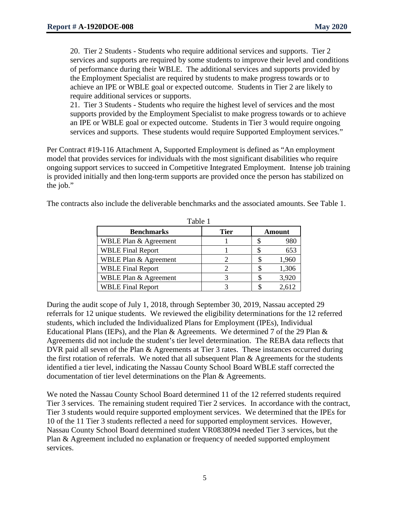20. Tier 2 Students - Students who require additional services and supports. Tier 2 services and supports are required by some students to improve their level and conditions of performance during their WBLE. The additional services and supports provided by the Employment Specialist are required by students to make progress towards or to achieve an IPE or WBLE goal or expected outcome. Students in Tier 2 are likely to require additional services or supports.

21. Tier 3 Students - Students who require the highest level of services and the most supports provided by the Employment Specialist to make progress towards or to achieve an IPE or WBLE goal or expected outcome. Students in Tier 3 would require ongoing services and supports. These students would require Supported Employment services."

Per Contract #19-116 Attachment A, Supported Employment is defined as "An employment model that provides services for individuals with the most significant disabilities who require ongoing support services to succeed in Competitive Integrated Employment. Intense job training is provided initially and then long-term supports are provided once the person has stabilized on the job."

The contracts also include the deliverable benchmarks and the associated amounts. See Table 1.

| Table 1                  |             |  |        |  |
|--------------------------|-------------|--|--------|--|
| <b>Benchmarks</b>        | <b>Tier</b> |  | Amount |  |
| WBLE Plan & Agreement    |             |  | 980    |  |
| <b>WBLE Final Report</b> |             |  | 653    |  |
| WBLE Plan & Agreement    |             |  | 1,960  |  |
| <b>WBLE Final Report</b> |             |  | 1,306  |  |
| WBLE Plan & Agreement    |             |  | 3,920  |  |
| <b>WBLE Final Report</b> |             |  | 2,612  |  |

During the audit scope of July 1, 2018, through September 30, 2019, Nassau accepted 29 referrals for 12 unique students. We reviewed the eligibility determinations for the 12 referred students, which included the Individualized Plans for Employment (IPEs), Individual Educational Plans (IEPs), and the Plan & Agreements. We determined 7 of the 29 Plan & Agreements did not include the student's tier level determination. The REBA data reflects that DVR paid all seven of the Plan & Agreements at Tier 3 rates. These instances occurred during the first rotation of referrals. We noted that all subsequent Plan & Agreements for the students identified a tier level, indicating the Nassau County School Board WBLE staff corrected the documentation of tier level determinations on the Plan & Agreements.

We noted the Nassau County School Board determined 11 of the 12 referred students required Tier 3 services. The remaining student required Tier 2 services. In accordance with the contract, Tier 3 students would require supported employment services. We determined that the IPEs for 10 of the 11 Tier 3 students reflected a need for supported employment services. However, Nassau County School Board determined student VR0838094 needed Tier 3 services, but the Plan & Agreement included no explanation or frequency of needed supported employment services.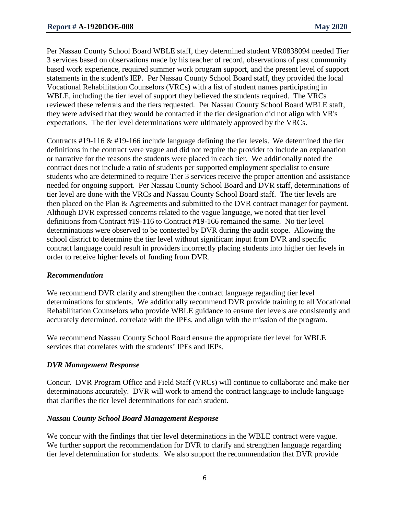Per Nassau County School Board WBLE staff, they determined student VR0838094 needed Tier 3 services based on observations made by his teacher of record, observations of past community based work experience, required summer work program support, and the present level of support statements in the student's IEP. Per Nassau County School Board staff, they provided the local Vocational Rehabilitation Counselors (VRCs) with a list of student names participating in WBLE, including the tier level of support they believed the students required. The VRCs reviewed these referrals and the tiers requested. Per Nassau County School Board WBLE staff, they were advised that they would be contacted if the tier designation did not align with VR's expectations. The tier level determinations were ultimately approved by the VRCs.

Contracts #19-116 & #19-166 include language defining the tier levels. We determined the tier definitions in the contract were vague and did not require the provider to include an explanation or narrative for the reasons the students were placed in each tier. We additionally noted the contract does not include a ratio of students per supported employment specialist to ensure students who are determined to require Tier 3 services receive the proper attention and assistance needed for ongoing support. Per Nassau County School Board and DVR staff, determinations of tier level are done with the VRCs and Nassau County School Board staff. The tier levels are then placed on the Plan & Agreements and submitted to the DVR contract manager for payment. Although DVR expressed concerns related to the vague language, we noted that tier level definitions from Contract #19-116 to Contract #19-166 remained the same. No tier level determinations were observed to be contested by DVR during the audit scope. Allowing the school district to determine the tier level without significant input from DVR and specific contract language could result in providers incorrectly placing students into higher tier levels in order to receive higher levels of funding from DVR.

#### *Recommendation*

We recommend DVR clarify and strengthen the contract language regarding tier level determinations for students. We additionally recommend DVR provide training to all Vocational Rehabilitation Counselors who provide WBLE guidance to ensure tier levels are consistently and accurately determined, correlate with the IPEs, and align with the mission of the program.

We recommend Nassau County School Board ensure the appropriate tier level for WBLE services that correlates with the students' IPEs and IEPs.

#### *DVR Management Response*

Concur. DVR Program Office and Field Staff (VRCs) will continue to collaborate and make tier determinations accurately. DVR will work to amend the contract language to include language that clarifies the tier level determinations for each student.

#### *Nassau County School Board Management Response*

We concur with the findings that tier level determinations in the WBLE contract were vague. We further support the recommendation for DVR to clarify and strengthen language regarding tier level determination for students. We also support the recommendation that DVR provide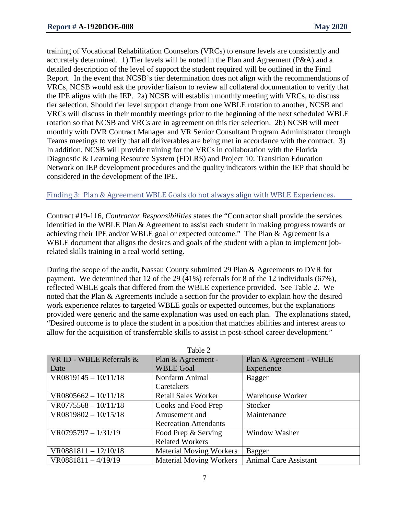training of Vocational Rehabilitation Counselors (VRCs) to ensure levels are consistently and accurately determined. 1) Tier levels will be noted in the Plan and Agreement (P&A) and a detailed description of the level of support the student required will be outlined in the Final Report. In the event that NCSB's tier determination does not align with the recommendations of VRCs, NCSB would ask the provider liaison to review all collateral documentation to verify that the IPE aligns with the IEP. 2a) NCSB will establish monthly meeting with VRCs, to discuss tier selection. Should tier level support change from one WBLE rotation to another, NCSB and VRCs will discuss in their monthly meetings prior to the beginning of the next scheduled WBLE rotation so that NCSB and VRCs are in agreement on this tier selection. 2b) NCSB will meet monthly with DVR Contract Manager and VR Senior Consultant Program Administrator through Teams meetings to verify that all deliverables are being met in accordance with the contract. 3) In addition, NCSB will provide training for the VRCs in collaboration with the Florida Diagnostic & Learning Resource System (FDLRS) and Project 10: Transition Education Network on IEP development procedures and the quality indicators within the IEP that should be considered in the development of the IPE.

#### Finding 3: Plan & Agreement WBLE Goals do not always align with WBLE Experiences.

Contract #19-116, *Contractor Responsibilities* states the "Contractor shall provide the services identified in the WBLE Plan & Agreement to assist each student in making progress towards or achieving their IPE and/or WBLE goal or expected outcome." The Plan & Agreement is a WBLE document that aligns the desires and goals of the student with a plan to implement jobrelated skills training in a real world setting.

During the scope of the audit, Nassau County submitted 29 Plan & Agreements to DVR for payment. We determined that 12 of the 29 (41%) referrals for 8 of the 12 individuals (67%), reflected WBLE goals that differed from the WBLE experience provided. See Table 2. We noted that the Plan & Agreements include a section for the provider to explain how the desired work experience relates to targeted WBLE goals or expected outcomes, but the explanations provided were generic and the same explanation was used on each plan. The explanations stated, "Desired outcome is to place the student in a position that matches abilities and interest areas to allow for the acquisition of transferrable skills to assist in post-school career development."

| Table 2                  |                                |                              |  |  |
|--------------------------|--------------------------------|------------------------------|--|--|
| VR ID - WBLE Referrals & | Plan & Agreement -             | Plan & Agreement - WBLE      |  |  |
| Date                     | <b>WBLE Goal</b>               | Experience                   |  |  |
| $VR0819145 - 10/11/18$   | Nonfarm Animal                 | <b>Bagger</b>                |  |  |
|                          | Caretakers                     |                              |  |  |
| $VR0805662 - 10/11/18$   | <b>Retail Sales Worker</b>     | Warehouse Worker             |  |  |
| $VR0775568 - 10/11/18$   | Cooks and Food Prep            | Stocker                      |  |  |
| $VR0819802 - 10/15/18$   | Amusement and                  | Maintenance                  |  |  |
|                          | <b>Recreation Attendants</b>   |                              |  |  |
| $VR0795797 - 1/31/19$    | Food Prep & Serving            | Window Washer                |  |  |
|                          | <b>Related Workers</b>         |                              |  |  |
| $VR0881811 - 12/10/18$   | <b>Material Moving Workers</b> | Bagger                       |  |  |
| $VR0881811 - 4/19/19$    | <b>Material Moving Workers</b> | <b>Animal Care Assistant</b> |  |  |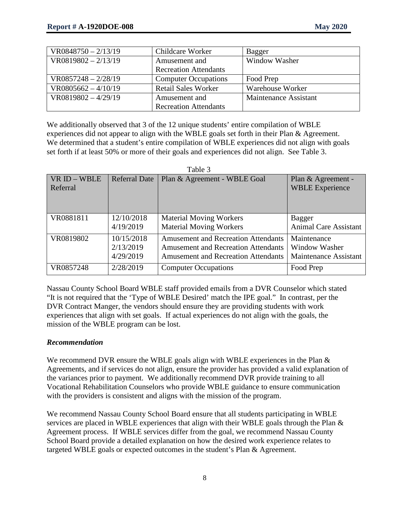| $VR0848750 - 2/13/19$  | Childcare Worker             | Bagger                |
|------------------------|------------------------------|-----------------------|
| $N$ R0819802 – 2/13/19 | Amusement and                | Window Washer         |
|                        | <b>Recreation Attendants</b> |                       |
| $VR0857248 - 2/28/19$  | <b>Computer Occupations</b>  | Food Prep             |
| $VR0805662 - 4/10/19$  | <b>Retail Sales Worker</b>   | Warehouse Worker      |
| $N$ R0819802 – 4/29/19 | Amusement and                | Maintenance Assistant |
|                        | <b>Recreation Attendants</b> |                       |

We additionally observed that 3 of the 12 unique students' entire compilation of WBLE experiences did not appear to align with the WBLE goals set forth in their Plan & Agreement. We determined that a student's entire compilation of WBLE experiences did not align with goals set forth if at least 50% or more of their goals and experiences did not align. See Table 3.

| VR ID - WBLE | <b>Referral Date</b> | Plan & Agreement - WBLE Goal               | Plan & Agreement -           |
|--------------|----------------------|--------------------------------------------|------------------------------|
| Referral     |                      |                                            | <b>WBLE Experience</b>       |
|              |                      |                                            |                              |
|              |                      |                                            |                              |
| VR0881811    | 12/10/2018           | <b>Material Moving Workers</b>             | Bagger                       |
|              | 4/19/2019            | <b>Material Moving Workers</b>             | <b>Animal Care Assistant</b> |
| VR0819802    | 10/15/2018           | <b>Amusement and Recreation Attendants</b> | Maintenance                  |
|              | 2/13/2019            | <b>Amusement and Recreation Attendants</b> | Window Washer                |
|              | 4/29/2019            | <b>Amusement and Recreation Attendants</b> | <b>Maintenance Assistant</b> |
| VR0857248    | 2/28/2019            | <b>Computer Occupations</b>                | Food Prep                    |

 $Table 2$ 

Nassau County School Board WBLE staff provided emails from a DVR Counselor which stated "It is not required that the 'Type of WBLE Desired' match the IPE goal." In contrast, per the DVR Contract Manger, the vendors should ensure they are providing students with work experiences that align with set goals. If actual experiences do not align with the goals, the mission of the WBLE program can be lost.

#### *Recommendation*

We recommend DVR ensure the WBLE goals align with WBLE experiences in the Plan & Agreements, and if services do not align, ensure the provider has provided a valid explanation of the variances prior to payment. We additionally recommend DVR provide training to all Vocational Rehabilitation Counselors who provide WBLE guidance to ensure communication with the providers is consistent and aligns with the mission of the program.

We recommend Nassau County School Board ensure that all students participating in WBLE services are placed in WBLE experiences that align with their WBLE goals through the Plan & Agreement process. If WBLE services differ from the goal, we recommend Nassau County School Board provide a detailed explanation on how the desired work experience relates to targeted WBLE goals or expected outcomes in the student's Plan & Agreement.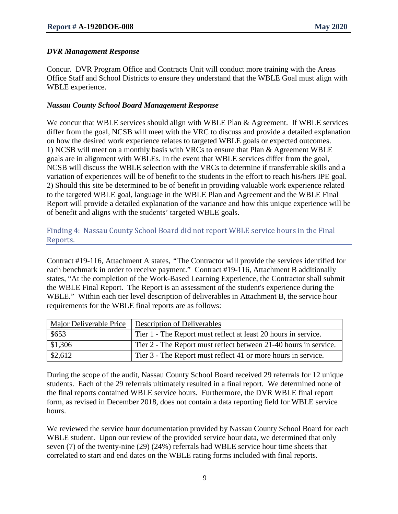#### *DVR Management Response*

Concur. DVR Program Office and Contracts Unit will conduct more training with the Areas Office Staff and School Districts to ensure they understand that the WBLE Goal must align with WBLE experience.

#### *Nassau County School Board Management Response*

We concur that WBLE services should align with WBLE Plan & Agreement. If WBLE services differ from the goal, NCSB will meet with the VRC to discuss and provide a detailed explanation on how the desired work experience relates to targeted WBLE goals or expected outcomes. 1) NCSB will meet on a monthly basis with VRCs to ensure that Plan & Agreement WBLE goals are in alignment with WBLEs. In the event that WBLE services differ from the goal, NCSB will discuss the WBLE selection with the VRCs to determine if transferrable skills and a variation of experiences will be of benefit to the students in the effort to reach his/hers IPE goal. 2) Should this site be determined to be of benefit in providing valuable work experience related to the targeted WBLE goal, language in the WBLE Plan and Agreement and the WBLE Final Report will provide a detailed explanation of the variance and how this unique experience will be of benefit and aligns with the students' targeted WBLE goals.

### Finding 4: Nassau County School Board did not report WBLE service hours in the Final Reports.

Contract #19-116, Attachment A states, *"*The Contractor will provide the services identified for each benchmark in order to receive payment." Contract #19-116, Attachment B additionally states, "At the completion of the Work-Based Learning Experience, the Contractor shall submit the WBLE Final Report. The Report is an assessment of the student's experience during the WBLE." Within each tier level description of deliverables in Attachment B, the service hour requirements for the WBLE final reports are as follows:

|                   | Major Deliverable Price   Description of Deliverables            |
|-------------------|------------------------------------------------------------------|
| \$653             | Tier 1 - The Report must reflect at least 20 hours in service.   |
| \$1,306           | Tier 2 - The Report must reflect between 21-40 hours in service. |
| $\frac{$2,612}{}$ | Tier 3 - The Report must reflect 41 or more hours in service.    |

During the scope of the audit, Nassau County School Board received 29 referrals for 12 unique students. Each of the 29 referrals ultimately resulted in a final report. We determined none of the final reports contained WBLE service hours. Furthermore, the DVR WBLE final report form, as revised in December 2018, does not contain a data reporting field for WBLE service hours.

We reviewed the service hour documentation provided by Nassau County School Board for each WBLE student. Upon our review of the provided service hour data, we determined that only seven (7) of the twenty-nine (29) (24%) referrals had WBLE service hour time sheets that correlated to start and end dates on the WBLE rating forms included with final reports.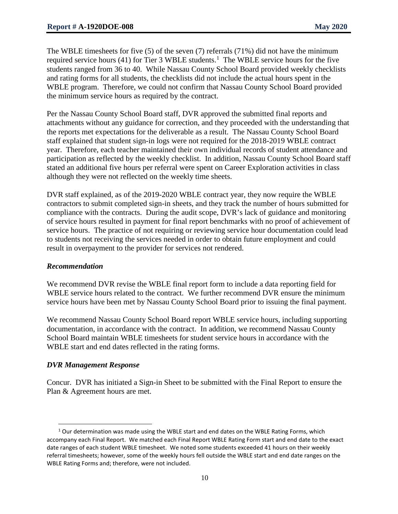The WBLE timesheets for five (5) of the seven (7) referrals (71%) did not have the minimum required service hours (4[1](#page-9-0)) for Tier 3 WBLE students.<sup>1</sup> The WBLE service hours for the five students ranged from 36 to 40. While Nassau County School Board provided weekly checklists and rating forms for all students, the checklists did not include the actual hours spent in the WBLE program. Therefore, we could not confirm that Nassau County School Board provided the minimum service hours as required by the contract.

Per the Nassau County School Board staff, DVR approved the submitted final reports and attachments without any guidance for correction, and they proceeded with the understanding that the reports met expectations for the deliverable as a result. The Nassau County School Board staff explained that student sign-in logs were not required for the 2018-2019 WBLE contract year. Therefore, each teacher maintained their own individual records of student attendance and participation as reflected by the weekly checklist. In addition, Nassau County School Board staff stated an additional five hours per referral were spent on Career Exploration activities in class although they were not reflected on the weekly time sheets.

DVR staff explained, as of the 2019-2020 WBLE contract year, they now require the WBLE contractors to submit completed sign-in sheets, and they track the number of hours submitted for compliance with the contracts. During the audit scope, DVR's lack of guidance and monitoring of service hours resulted in payment for final report benchmarks with no proof of achievement of service hours. The practice of not requiring or reviewing service hour documentation could lead to students not receiving the services needed in order to obtain future employment and could result in overpayment to the provider for services not rendered.

#### *Recommendation*

We recommend DVR revise the WBLE final report form to include a data reporting field for WBLE service hours related to the contract. We further recommend DVR ensure the minimum service hours have been met by Nassau County School Board prior to issuing the final payment.

We recommend Nassau County School Board report WBLE service hours, including supporting documentation, in accordance with the contract. In addition, we recommend Nassau County School Board maintain WBLE timesheets for student service hours in accordance with the WBLE start and end dates reflected in the rating forms.

#### *DVR Management Response*

 $\overline{\phantom{a}}$ 

Concur. DVR has initiated a Sign-in Sheet to be submitted with the Final Report to ensure the Plan & Agreement hours are met.

<span id="page-9-0"></span> $1$  Our determination was made using the WBLE start and end dates on the WBLE Rating Forms, which accompany each Final Report. We matched each Final Report WBLE Rating Form start and end date to the exact date ranges of each student WBLE timesheet. We noted some students exceeded 41 hours on their weekly referral timesheets; however, some of the weekly hours fell outside the WBLE start and end date ranges on the WBLE Rating Forms and; therefore, were not included.